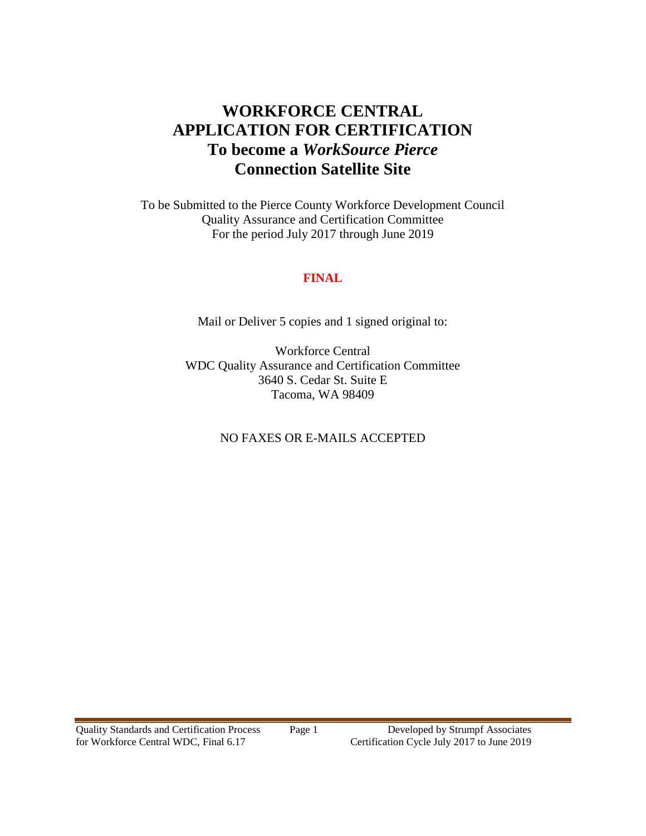# **WORKFORCE CENTRAL APPLICATION FOR CERTIFICATION To become a** *WorkSource Pierce* **Connection Satellite Site**

To be Submitted to the Pierce County Workforce Development Council Quality Assurance and Certification Committee For the period July 2017 through June 2019

#### **FINAL**

Mail or Deliver 5 copies and 1 signed original to:

Workforce Central WDC Quality Assurance and Certification Committee 3640 S. Cedar St. Suite E Tacoma, WA 98409

#### NO FAXES OR E-MAILS ACCEPTED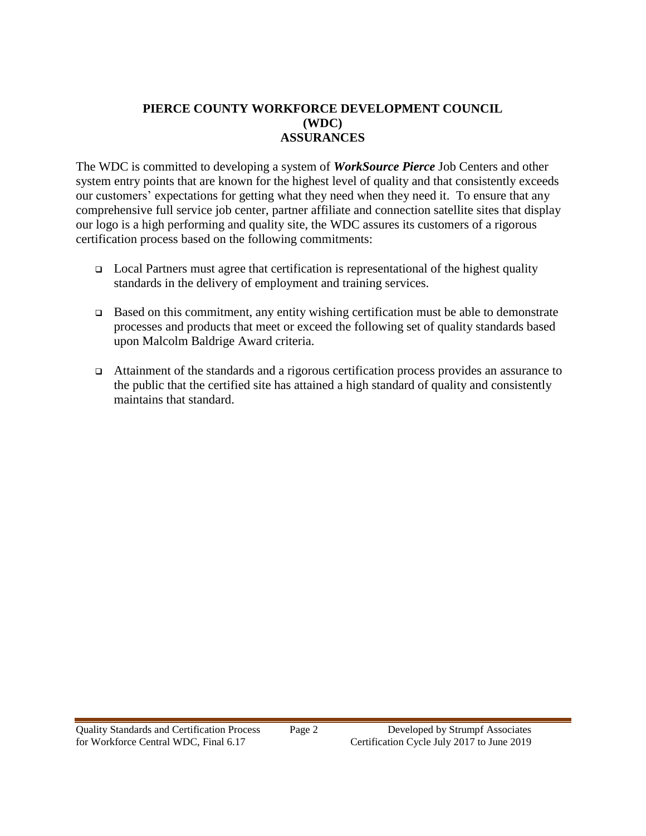#### **PIERCE COUNTY WORKFORCE DEVELOPMENT COUNCIL (WDC) ASSURANCES**

The WDC is committed to developing a system of *WorkSource Pierce* Job Centers and other system entry points that are known for the highest level of quality and that consistently exceeds our customers' expectations for getting what they need when they need it. To ensure that any comprehensive full service job center, partner affiliate and connection satellite sites that display our logo is a high performing and quality site, the WDC assures its customers of a rigorous certification process based on the following commitments:

- $\Box$  Local Partners must agree that certification is representational of the highest quality standards in the delivery of employment and training services.
- $\Box$  Based on this commitment, any entity wishing certification must be able to demonstrate processes and products that meet or exceed the following set of quality standards based upon Malcolm Baldrige Award criteria.
- Attainment of the standards and a rigorous certification process provides an assurance to the public that the certified site has attained a high standard of quality and consistently maintains that standard.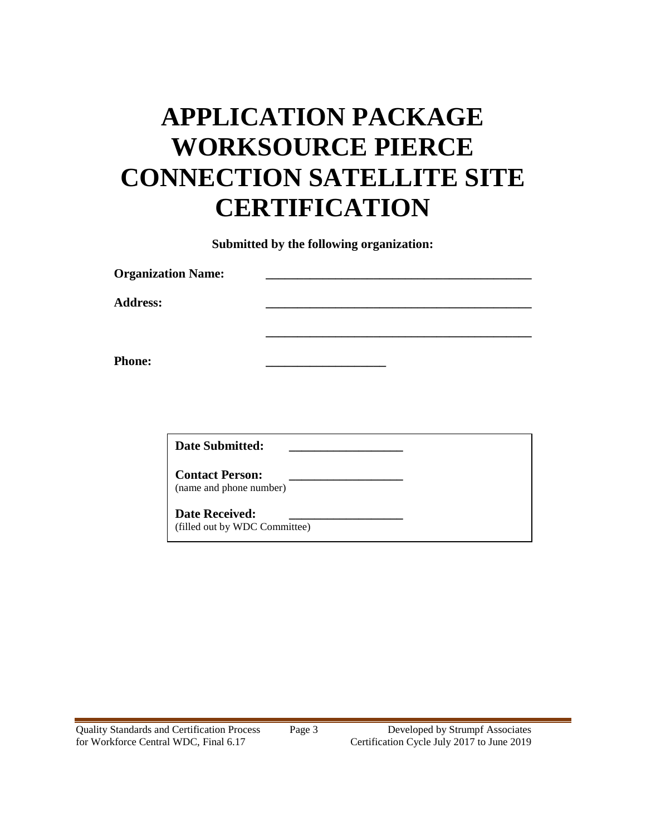# **APPLICATION PACKAGE WORKSOURCE PIERCE CONNECTION SATELLITE SITE CERTIFICATION**

**Submitted by the following organization:**

| <b>Organization Name:</b> |  |
|---------------------------|--|
| <b>Address:</b>           |  |
|                           |  |
| <b>Phone:</b>             |  |

**Date Submitted: \_\_\_\_\_\_\_\_\_\_\_\_\_\_\_\_\_\_**

**Contact Person: \_\_\_\_\_\_\_\_\_\_\_\_\_\_\_\_\_\_** (name and phone number)

**Date Received:** (filled out by WDC Committee)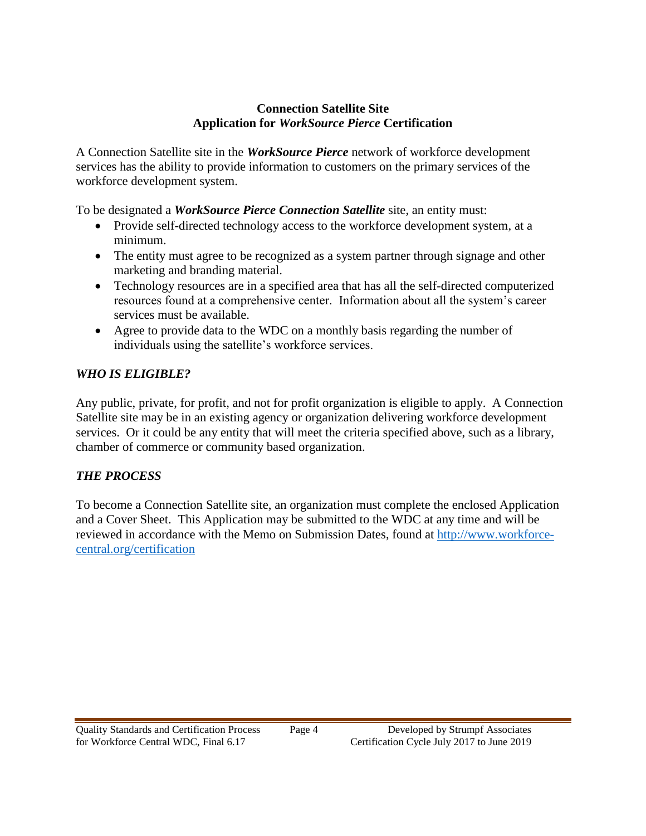#### **Connection Satellite Site Application for** *WorkSource Pierce* **Certification**

A Connection Satellite site in the *WorkSource Pierce* network of workforce development services has the ability to provide information to customers on the primary services of the workforce development system.

To be designated a *WorkSource Pierce Connection Satellite* site, an entity must:

- Provide self-directed technology access to the workforce development system, at a minimum.
- The entity must agree to be recognized as a system partner through signage and other marketing and branding material.
- Technology resources are in a specified area that has all the self-directed computerized resources found at a comprehensive center. Information about all the system's career services must be available.
- Agree to provide data to the WDC on a monthly basis regarding the number of individuals using the satellite's workforce services.

# *WHO IS ELIGIBLE?*

Any public, private, for profit, and not for profit organization is eligible to apply. A Connection Satellite site may be in an existing agency or organization delivering workforce development services. Or it could be any entity that will meet the criteria specified above, such as a library, chamber of commerce or community based organization.

# *THE PROCESS*

To become a Connection Satellite site, an organization must complete the enclosed Application and a Cover Sheet. This Application may be submitted to the WDC at any time and will be reviewed in accordance with the Memo on Submission Dates, found at [http://www.workforce](http://www.workforce-central.org/certification)[central.org/certification](http://www.workforce-central.org/certification)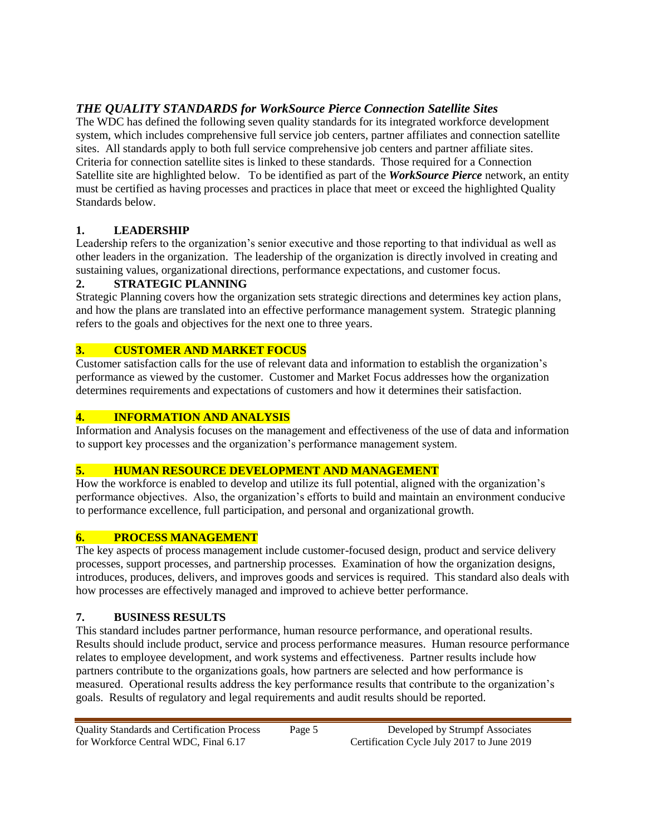# *THE QUALITY STANDARDS for WorkSource Pierce Connection Satellite Sites*

The WDC has defined the following seven quality standards for its integrated workforce development system, which includes comprehensive full service job centers, partner affiliates and connection satellite sites. All standards apply to both full service comprehensive job centers and partner affiliate sites. Criteria for connection satellite sites is linked to these standards. Those required for a Connection Satellite site are highlighted below. To be identified as part of the *WorkSource Pierce* network, an entity must be certified as having processes and practices in place that meet or exceed the highlighted Quality Standards below.

#### **1. LEADERSHIP**

Leadership refers to the organization's senior executive and those reporting to that individual as well as other leaders in the organization. The leadership of the organization is directly involved in creating and sustaining values, organizational directions, performance expectations, and customer focus.

#### **2. STRATEGIC PLANNING**

Strategic Planning covers how the organization sets strategic directions and determines key action plans, and how the plans are translated into an effective performance management system. Strategic planning refers to the goals and objectives for the next one to three years.

#### **3. CUSTOMER AND MARKET FOCUS**

Customer satisfaction calls for the use of relevant data and information to establish the organization's performance as viewed by the customer. Customer and Market Focus addresses how the organization determines requirements and expectations of customers and how it determines their satisfaction.

#### **4. INFORMATION AND ANALYSIS**

Information and Analysis focuses on the management and effectiveness of the use of data and information to support key processes and the organization's performance management system.

#### **5. HUMAN RESOURCE DEVELOPMENT AND MANAGEMENT**

How the workforce is enabled to develop and utilize its full potential, aligned with the organization's performance objectives. Also, the organization's efforts to build and maintain an environment conducive to performance excellence, full participation, and personal and organizational growth.

## **6. PROCESS MANAGEMENT**

The key aspects of process management include customer-focused design, product and service delivery processes, support processes, and partnership processes. Examination of how the organization designs, introduces, produces, delivers, and improves goods and services is required. This standard also deals with how processes are effectively managed and improved to achieve better performance.

#### **7. BUSINESS RESULTS**

This standard includes partner performance, human resource performance, and operational results. Results should include product, service and process performance measures. Human resource performance relates to employee development, and work systems and effectiveness. Partner results include how partners contribute to the organizations goals, how partners are selected and how performance is measured. Operational results address the key performance results that contribute to the organization's goals. Results of regulatory and legal requirements and audit results should be reported.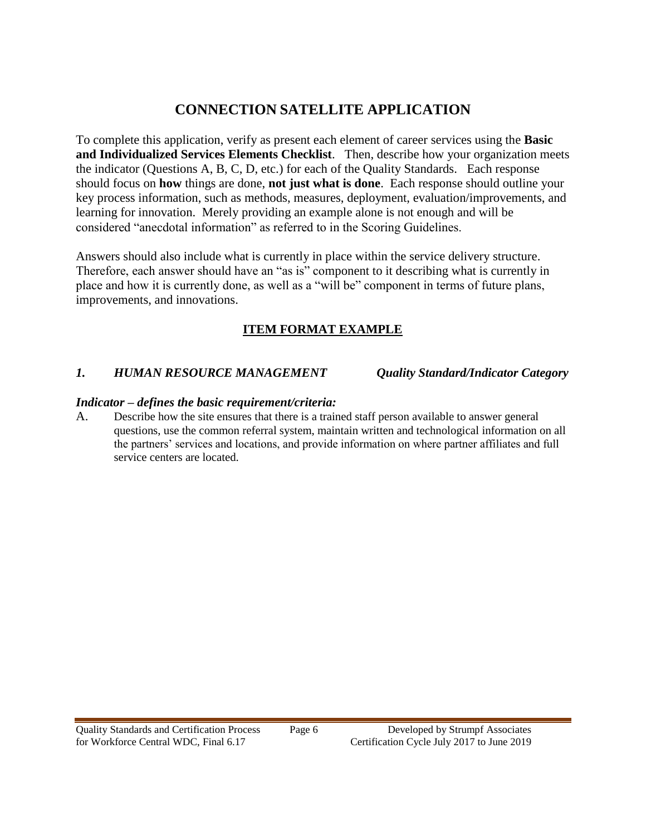# **CONNECTION SATELLITE APPLICATION**

To complete this application, verify as present each element of career services using the **Basic and Individualized Services Elements Checklist**. Then, describe how your organization meets the indicator (Questions A, B, C, D, etc.) for each of the Quality Standards. Each response should focus on **how** things are done, **not just what is done**. Each response should outline your key process information, such as methods, measures, deployment, evaluation/improvements, and learning for innovation. Merely providing an example alone is not enough and will be considered "anecdotal information" as referred to in the Scoring Guidelines.

Answers should also include what is currently in place within the service delivery structure. Therefore, each answer should have an "as is" component to it describing what is currently in place and how it is currently done, as well as a "will be" component in terms of future plans, improvements, and innovations.

# **ITEM FORMAT EXAMPLE**

#### *1. HUMAN RESOURCE MANAGEMENT Quality Standard/Indicator Category*

#### *Indicator – defines the basic requirement/criteria:*

A. Describe how the site ensures that there is a trained staff person available to answer general questions, use the common referral system, maintain written and technological information on all the partners' services and locations, and provide information on where partner affiliates and full service centers are located.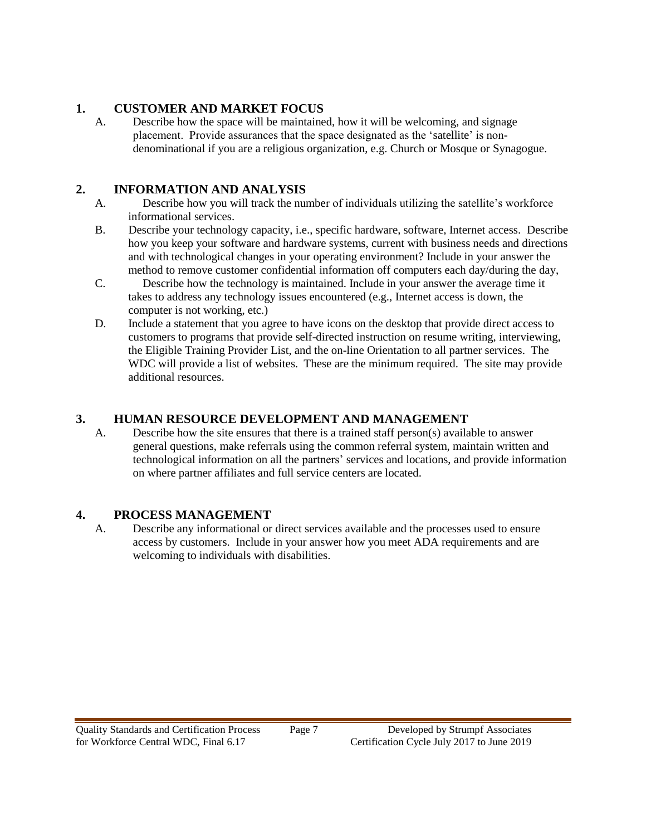#### **1. CUSTOMER AND MARKET FOCUS**

A. Describe how the space will be maintained, how it will be welcoming, and signage placement. Provide assurances that the space designated as the 'satellite' is nondenominational if you are a religious organization, e.g. Church or Mosque or Synagogue.

# **2. INFORMATION AND ANALYSIS**

- A. Describe how you will track the number of individuals utilizing the satellite's workforce informational services.
- B. Describe your technology capacity, i.e., specific hardware, software, Internet access. Describe how you keep your software and hardware systems, current with business needs and directions and with technological changes in your operating environment? Include in your answer the method to remove customer confidential information off computers each day/during the day,
- C. Describe how the technology is maintained. Include in your answer the average time it takes to address any technology issues encountered (e.g., Internet access is down, the computer is not working, etc.)
- D. Include a statement that you agree to have icons on the desktop that provide direct access to customers to programs that provide self-directed instruction on resume writing, interviewing, the Eligible Training Provider List, and the on-line Orientation to all partner services. The WDC will provide a list of websites. These are the minimum required. The site may provide additional resources.

# **3. HUMAN RESOURCE DEVELOPMENT AND MANAGEMENT**

A. Describe how the site ensures that there is a trained staff person(s) available to answer general questions, make referrals using the common referral system, maintain written and technological information on all the partners' services and locations, and provide information on where partner affiliates and full service centers are located.

## **4. PROCESS MANAGEMENT**

A. Describe any informational or direct services available and the processes used to ensure access by customers. Include in your answer how you meet ADA requirements and are welcoming to individuals with disabilities.